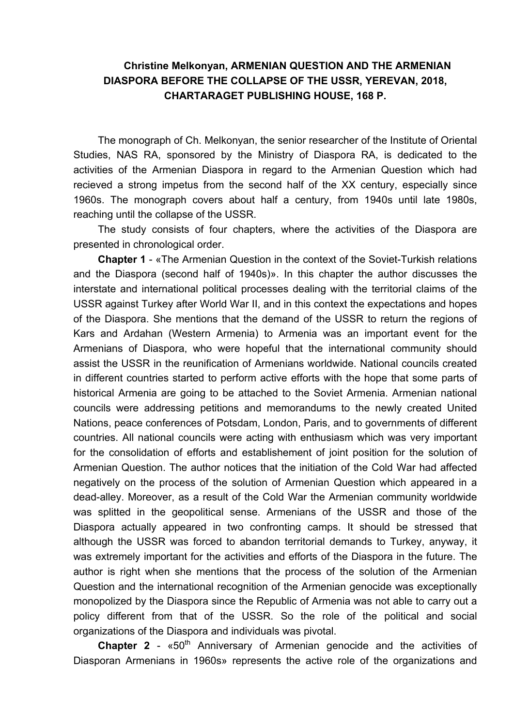## **Christine Melkonyan, ARMENIAN QUESTION AND THE ARMENIAN DIASPORA BEFORE THE COLLAPSE OF THE USSR, YEREVAN, 2018, CHARTARAGET PUBLISHING HOUSE, 168 P.**

The monograph of Ch. Melkonyan, the senior researcher of the Institute of Oriental Studies, NAS RA, sponsored by the Ministry of Diaspora RA, is dedicated to the activities of the Armenian Diaspora in regard to the Armenian Question which had recieved a strong impetus from the second half of the XX century, especially since 1960s. The monograph covers about half a century, from 1940s until late 1980s, reaching until the collapse of the USSR.

The study consists of four chapters, where the activities of the Diaspora are presented in chronological order.

**Chapter 1** - «The Armenian Question in the context of the Soviet-Turkish relations and the Diaspora (second half of 1940s)». In this chapter the author discusses the interstate and international political processes dealing with the territorial claims of the USSR against Turkey after World War II, and in this context the expectations and hopes of the Diaspora. She mentions that the demand of the USSR to return the regions of Kars and Ardahan (Western Armenia) to Armenia was an important event for the Armenians of Diaspora, who were hopeful that the international community should assist the USSR in the reunification of Armenians worldwide. National councils created in different countries started to perform active efforts with the hope that some parts of historical Armenia are going to be attached to the Soviet Armenia. Armenian national councils were addressing petitions and memorandums to the newly created United Nations, peace conferences of Potsdam, London, Paris, and to governments of different countries. All national councils were acting with enthusiasm which was very important for the consolidation of efforts and establishement of joint position for the solution of Armenian Question. The author notices that the initiation of the Cold War had affected negatively on the process of the solution of Armenian Question which appeared in a dead-alley. Moreover, as a result of the Cold War the Armenian community worldwide was splitted in the geopolitical sense. Armenians of the USSR and those of the Diaspora actually appeared in two confronting camps. It should be stressed that although the USSR was forced to abandon territorial demands to Turkey, anyway, it was extremely important for the activities and efforts of the Diaspora in the future. The author is right when she mentions that the process of the solution of the Armenian Question and the international recognition of the Armenian genocide was exceptionally monopolized by the Diaspora since the Republic of Armenia was not able to carry out a policy different from that of the USSR. So the role of the political and social organizations of the Diaspora and individuals was pivotal.

**Chapter 2** - «50<sup>th</sup> Anniversary of Armenian genocide and the activities of Diasporan Armenians in 1960s» represents the active role of the organizations and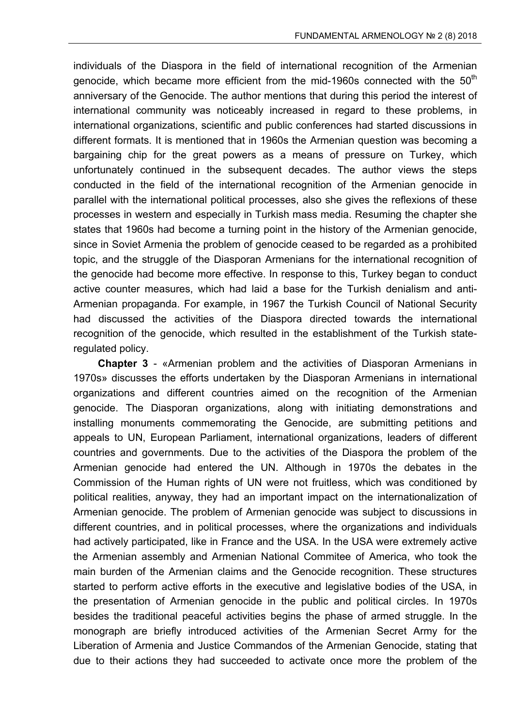individuals of the Diaspora in the field of international recognition of the Armenian genocide, which became more efficient from the mid-1960s connected with the  $50<sup>th</sup>$ anniversary of the Genocide. The author mentions that during this period the interest of international community was noticeably increased in regard to these problems, in international organizations, scientific and public conferences had started discussions in different formats. It is mentioned that in 1960s the Armenian question was becoming a bargaining chip for the great powers as a means of pressure on Turkey, which unfortunately continued in the subsequent decades. The author views the steps conducted in the field of the international recognition of the Armenian genocide in parallel with the international political processes, also she gives the reflexions of these processes in western and especially in Turkish mass media. Resuming the chapter she states that 1960s had become a turning point in the history of the Armenian genocide, since in Soviet Armenia the problem of genocide ceased to be regarded as a prohibited topic, and the struggle of the Diasporan Armenians for the international recognition of the genocide had become more effective. In response to this, Turkey began to conduct active counter measures, which had laid a base for the Turkish denialism and anti-Armenian propaganda. For example, in 1967 the Turkish Council of National Security had discussed the activities of the Diaspora directed towards the international recognition of the genocide, which resulted in the establishment of the Turkish stateregulated policy.

**Chapter 3** - «Armenian problem and the activities of Diasporan Armenians in 1970s» discusses the efforts undertaken by the Diasporan Armenians in international organizations and different countries aimed on the recognition of the Armenian genocide. The Diasporan organizations, along with initiating demonstrations and installing monuments commemorating the Genocide, are submitting petitions and appeals to UN, European Parliament, international organizations, leaders of different countries and governments. Due to the activities of the Diaspora the problem of the Armenian genocide had entered the UN. Although in 1970s the debates in the Commission of the Human rights of UN were not fruitless, which was conditioned by political realities, anyway, they had an important impact on the internationalization of Armenian genocide. The problem of Armenian genocide was subject to discussions in different countries, and in political processes, where the organizations and individuals had actively participated, like in France and the USA. In the USA were extremely active the Armenian assembly and Armenian National Commitee of America, who took the main burden of the Armenian claims and the Genocide recognition. These structures started to perform active efforts in the executive and legislative bodies of the USA, in the presentation of Armenian genocide in the public and political circles. In 1970s besides the traditional peaceful activities begins the phase of armed struggle. In the monograph are briefly introduced activities of the Armenian Secret Army for the Liberation of Armenia and Justice Commandos of the Armenian Genocide, stating that due to their actions they had succeeded to activate once more the problem of the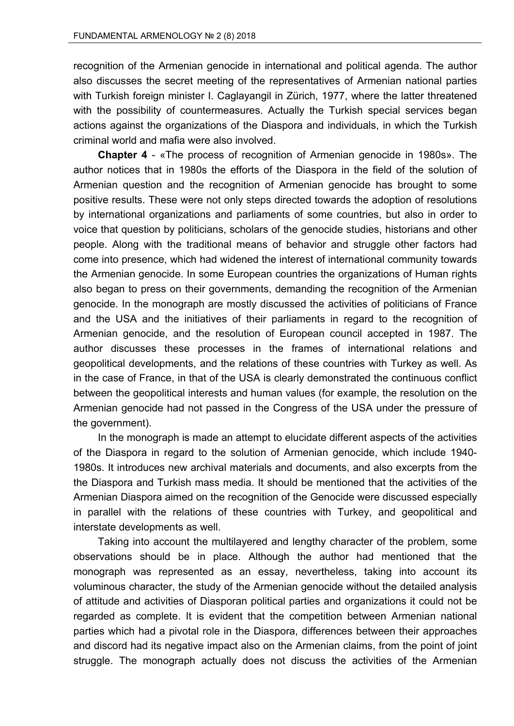recognition of the Armenian genocide in international and political agenda. The author also discusses the secret meeting of the representatives of Armenian national parties with Turkish foreign minister I. Caglayangil in Zürich, 1977, where the latter threatened with the possibility of countermeasures. Actually the Turkish special services began actions against the organizations of the Diaspora and individuals, in which the Turkish criminal world and mafia were also involved.

**Chapter 4** - «The process of recognition of Armenian genocide in 1980s». The author notices that in 1980s the efforts of the Diaspora in the field of the solution of Armenian question and the recognition of Armenian genocide has brought to some positive results. These were not only steps directed towards the adoption of resolutions by international organizations and parliaments of some countries, but also in order to voice that question by politicians, scholars of the genocide studies, historians and other people. Along with the traditional means of behavior and struggle other factors had come into presence, which had widened the interest of international community towards the Armenian genocide. In some European countries the organizations of Human rights also began to press on their governments, demanding the recognition of the Armenian genocide. In the monograph are mostly discussed the activities of politicians of France and the USA and the initiatives of their parliaments in regard to the recognition of Armenian genocide, and the resolution of European council accepted in 1987. The author discusses these processes in the frames of international relations and geopolitical developments, and the relations of these countries with Turkey as well. As in the case of France, in that of the USA is clearly demonstrated the continuous conflict between the geopolitical interests and human values (for example, the resolution on the Armenian genocide had not passed in the Congress of the USA under the pressure of the government).

In the monograph is made an attempt to elucidate different aspects of the activities of the Diaspora in regard to the solution of Armenian genocide, which include 1940- 1980s. It introduces new archival materials and documents, and also excerpts from the the Diaspora and Turkish mass media. It should be mentioned that the activities of the Armenian Diaspora aimed on the recognition of the Genocide were discussed especially in parallel with the relations of these countries with Turkey, and geopolitical and interstate developments as well.

Taking into account the multilayered and lengthy character of the problem, some observations should be in place. Although the author had mentioned that the monograph was represented as an essay, nevertheless, taking into account its voluminous character, the study of the Armenian genocide without the detailed analysis of attitude and activities of Diasporan political parties and organizations it could not be regarded as complete. It is evident that the competition between Armenian national parties which had a pivotal role in the Diaspora, differences between their approaches and discord had its negative impact also on the Armenian claims, from the point of joint struggle. The monograph actually does not discuss the activities of the Armenian